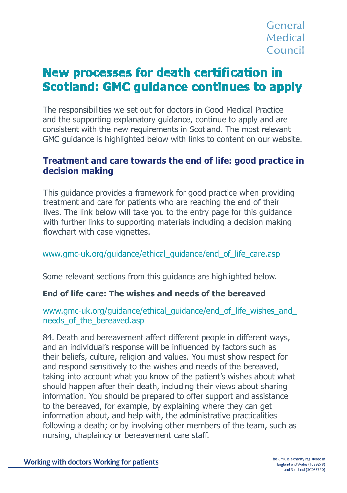# **New processes for death certification in Scotland: GMC guidance continues to apply**

The responsibilities we set out for doctors in Good Medical Practice and the supporting explanatory guidance, continue to apply and are consistent with the new requirements in Scotland. The most relevant GMC guidance is highlighted below with links to content on our website.

# **Treatment and care towards the end of life: good practice in Treatment and care towards the end of life: good practice**  $\mathbf{z}$  **and**  $\mathbf{z}$  **is a proportional proportion of**  $\mathbf{z}$  **and**  $\mathbf{z}$  **is a proportion of**  $\mathbf{z}$  **and**  $\mathbf{z}$  **is a proportion of**  $\mathbf{z}$  **and**  $\mathbf{z}$  **is a**

This guidance provides a framework for good practice when providing This guidance provides a framework for good practice when providing treatment and care for patients who are reaching the end of their I cadment and eare for patients who are reaching the end of their<br>lives. The link below will take you to the entry page for this guidance with further links to supporting materials including a decision making flowchart with case vignettes. hives. The first below will take you to the entry page for this guidance

#### www.gmc-uk.org/guidance/ethical\_guidance/end\_of\_life\_care.asp  $S_{\text{S}}$  are the sections from this guidance are highlighted below.

Some relevant sections from this guidance are highlighted below. **End of life care: The wishes and needs of the bereaved**

## **End of life care: The wishes and needs of the bereaved**

# www.gmc-uk.org/guidance/ethical\_guidance/end\_of\_life\_wishes\_and\_ needs\_of\_the\_bereaved.asp and bear affect different people in different people in different ways, and an individually

84. Death and bereavement affect different people in different ways, and an individual's response will be influenced by factors such as their beliefs, culture, religion and values. You must show respect for and respond sensitively to the wishes and needs of the bereaved, taking into account what you know of the patient's wishes about what should happen after their death, including their views about sharing information. You should be prepared to offer support and assistance to the bereaved, for example, by explaining where they can get information about, and help with, the administrative practicalities following a death; or by involving other members of the team, such as nursing, chaplaincy or bereavement care staff. of. Death and beleavement anect different people in different ways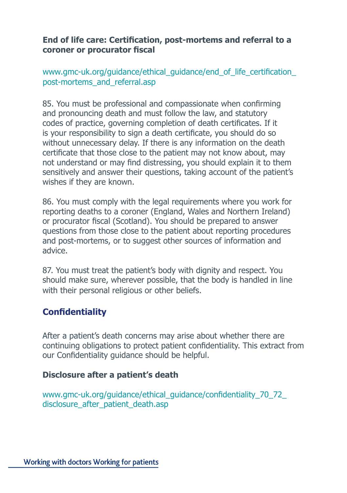### **End of life care: Certification, post-mortems and referral to a coroner or procurator fiscal**

www.gmc-uk.org/guidance/ethical\_guidance/end\_of\_life\_certification\_ post-mortems\_and\_referral.asp post-mortems\_and\_referranasp

85. You must be professional and compassionate when confirming codes of practice, governing completion of death certificates. If it is your responsibility to sign a death certificate, you should do so without unnecessary delay. If there is any information on the death without unnecessary delay. If there is any information on the death method annecessary delay. In these is any information on the death certificate that those close to the patient may not know about, may sensitively and answer their questions, taking account of the patient's **in decision making** wishes if they are known. and pronouncing death and must follow the law, and statutory not understand or may find distressing, you should explain it to them

86. You must comply with the legal requirements where you work for both the tempty will the legal requirements where you wont to reporting deaths to a coroner (England, Wales and Northern Ireland) reporting acations to a correlate (England, wales and worthern freight) or procurator fiscal (Scotland). You should be prepared to answer and post-mortems, or to suggest other sources of information and questions from those close to the patient about reporting procedures advice.

should make sure, wherever possible, that the body is handled in line with their personal religious or other beliefs. 87. You must treat the patient's body with dignity and respect. You

### **Confidentiality**  $u(x)$

After a patient's death concerns may arise about whether there are You must show respect for and respond sensitively to the wishes and needs of the continuing obligations to protect patient confidentiality. This extract from our Confidentiality guidance should be helpful.

### prepared to offer support and assistance to the bereaved, for example, by explaining **Disclosure after a patient's death**

www.gmc-uk.org/guidance/ethical\_guidance/confidentiality\_70\_72\_ disclosure after patient death.asp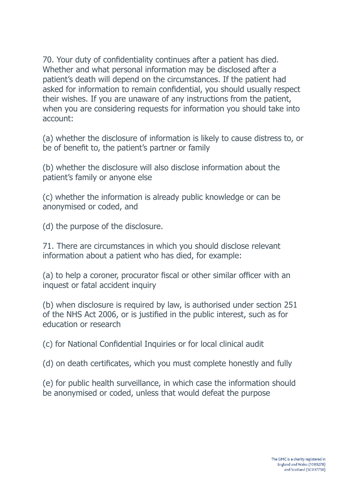70. Your duty of confidentiality continues after a patient has died. Whether and what personal information may be disclosed after a patient's death will depend on the circumstances. If the patient had asked for information to remain confidential, you should usually respect **their wishes. If you are unaware of any instructions from the patient,**  $\frac{1}{2}$ when you are considering requests for information you should take into account:  $T$  responsibilities we set out for doctors in  $G$  and the supporting and the supporting and the supporting  $T$ 

(a) whether the disclosure of information is likely to cause distress to, or be of benefit to, the patient's partner or family

(b) whether the disclosure will also disclose information about the ending of the end of the end of the end of the end of the end of the end of the end of the end of the end of the end of the end of the end of the end of t patient's family or anyone else patients ranny of any

(c) whether the information is already public knowledge or can be anonymised or coded, and **of the end of the end of the end** of the end of the end of the link below will take you

(d) the purpose of the disclosure.

71. There are circumstances in which you should disclose relevant information about a patient who has died, for example:

(a) to help a coroner, procurator fiscal or other similar officer with an inquest or fatal accident inquiry

(b) when disclosure is required by law, is authorised under section  $251$ of the NHS Act 2006, or is justified in the public interest, such as for education or research and bereavement affect different people in different people in different ways, and an individually contact the second ways, and an individual of the second ways, and an individually contact the second response will be influenced by factors such as the influenced by factors such as the intervalues.

(c) for National Confidential Inquiries or for local clinical audit bereaved, taking into account what you know of the patient's wishes about what should wish showledge the patient's wishes about what showledge the patient's wishes about what showledge the patient's wishes about what showl

(d) on death certificates, which you must complete honestly and fully provided to connected, when you must complete nonestly and range

(e) for public health surveillance, in which case the information should be anonymised or coded, unless that would defeat the purpose  $f(c)$  for public riealiti surveniance, in which case the information should